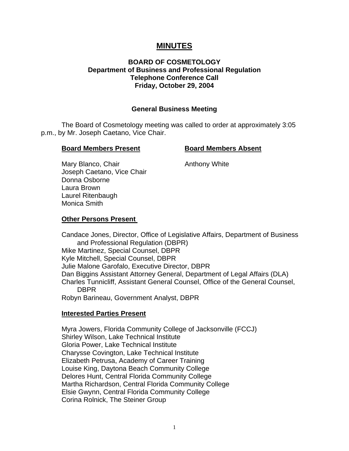# **MINUTES**

## **BOARD OF COSMETOLOGY Department of Business and Professional Regulation Telephone Conference Call Friday, October 29, 2004**

#### **General Business Meeting**

The Board of Cosmetology meeting was called to order at approximately 3:05 p.m., by Mr. Joseph Caetano, Vice Chair.

#### **Board Members Present Board Members Absent**

Mary Blanco, Chair **Anthony White** Joseph Caetano, Vice Chair Donna Osborne Laura Brown Laurel Ritenbaugh Monica Smith

#### **Other Persons Present**

Candace Jones, Director, Office of Legislative Affairs, Department of Business and Professional Regulation (DBPR) Mike Martinez, Special Counsel, DBPR Kyle Mitchell, Special Counsel, DBPR Julie Malone Garofalo, Executive Director, DBPR Dan Biggins Assistant Attorney General, Department of Legal Affairs (DLA) Charles Tunnicliff, Assistant General Counsel, Office of the General Counsel, DBPR Robyn Barineau, Government Analyst, DBPR

#### **Interested Parties Present**

Myra Jowers, Florida Community College of Jacksonville (FCCJ) Shirley Wilson, Lake Technical Institute Gloria Power, Lake Technical Institute Charysse Covington, Lake Technical Institute Elizabeth Petrusa, Academy of Career Training Louise King, Daytona Beach Community College Delores Hunt, Central Florida Community College Martha Richardson, Central Florida Community College Elsie Gwynn, Central Florida Community College Corina Rolnick, The Steiner Group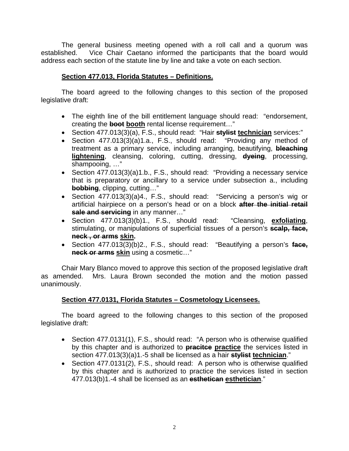The general business meeting opened with a roll call and a quorum was established. Vice Chair Caetano informed the participants that the board would address each section of the statute line by line and take a vote on each section.

# **Section 477.013, Florida Statutes – Definitions.**

The board agreed to the following changes to this section of the proposed legislative draft:

- The eighth line of the bill entitlement language should read: "endorsement, creating the **boot** booth rental license requirement..."
- Section 477.013(3)(a), F.S., should read: "Hair **stylist technician** services:"
- Section 477.013(3)(a)1.a., F.S., should read: "Providing any method of treatment as a primary service, including arranging, beautifying, **bleaching lightening**, cleansing, coloring, cutting, dressing, **dyeing**, processing, shampooing, …"
- Section 477.013(3)(a)1.b., F.S., should read: "Providing a necessary service that is preparatory or ancillary to a service under subsection a., including **bobbing**, clipping, cutting…"
- Section 477.013(3)(a)4., F.S., should read: "Servicing a person's wig or artificial hairpiece on a person's head or on a block **after the initial retail sale and servicing** in any manner…"
- Section 477.013(3)(b)1., F.S., should read: "Cleansing, **exfoliating**, stimulating, or manipulations of superficial tissues of a person's **scalp, face, neck , or arms skin.**
- Section 477.013(3)(b)2., F.S., should read: "Beautifying a person's **face, neck or arms skin** using a cosmetic…"

Chair Mary Blanco moved to approve this section of the proposed legislative draft as amended. Mrs. Laura Brown seconded the motion and the motion passed unanimously.

# **Section 477.0131, Florida Statutes – Cosmetology Licensees.**

- Section 477.0131(1), F.S., should read: "A person who is otherwise qualified by this chapter and is authorized to **pracitce practice** the services listed in section 477.013(3)(a)1.-5 shall be licensed as a hair **stylist technician**."
- Section 477.0131(2), F.S., should read: A person who is otherwise qualified by this chapter and is authorized to practice the services listed in section 477.013(b)1.-4 shall be licensed as an **esthetican esthetician**."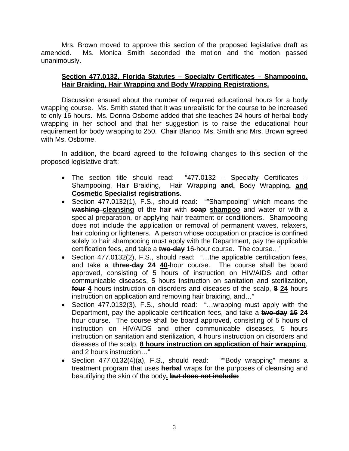Mrs. Brown moved to approve this section of the proposed legislative draft as amended. Ms. Monica Smith seconded the motion and the motion passed unanimously.

## **Section 477.0132, Florida Statutes – Specialty Certificates – Shampooing, Hair Braiding, Hair Wrapping and Body Wrapping Registrations.**

Discussion ensued about the number of required educational hours for a body wrapping course. Ms. Smith stated that it was unrealistic for the course to be increased to only 16 hours. Ms. Donna Osborne added that she teaches 24 hours of herbal body wrapping in her school and that her suggestion is to raise the educational hour requirement for body wrapping to 250. Chair Blanco, Ms. Smith and Mrs. Brown agreed with Ms. Osborne.

- The section title should read: "477.0132 Specialty Certificates Shampooing, Hair Braiding, Hair Wrapping **and,** Body Wrapping**, and Cosmetic Specialist registrations**.
- Section 477.0132(1), F.S., should read: ""Shampooing" which means the **washing cleansing** of the hair with **soap shampoo** and water or with a special preparation, or applying hair treatment or conditioners. Shampooing does not include the application or removal of permanent waves, relaxers, hair coloring or lighteners. A person whose occupation or practice is confined solely to hair shampooing must apply with the Department, pay the applicable certification fees, and take a **two-day** 16-hour course. The course…"
- Section 477.0132(2), F.S., should read: "...the applicable certification fees, and take a **three-day 24 40**-hour course. The course shall be board approved, consisting of 5 hours of instruction on HIV/AIDS and other communicable diseases, 5 hours instruction on sanitation and sterilization, **four 4** hours instruction on disorders and diseases of the scalp, **8 24** hours instruction on application and removing hair braiding, and…"
- Section 477.0132(3), F.S., should read: "...wrapping must apply with the Department, pay the applicable certification fees, and take a **two-day 16 24** hour course. The course shall be board approved, consisting of 5 hours of instruction on HIV/AIDS and other communicable diseases, 5 hours instruction on sanitation and sterilization, 4 hours instruction on disorders and diseases of the scalp, **8 hours instruction on application of hair wrapping**, and 2 hours instruction…"
- Section 477.0132(4)(a), F.S., should read: ""Body wrapping" means a treatment program that uses **herbal** wraps for the purposes of cleansing and beautifying the skin of the body**. but does not include:**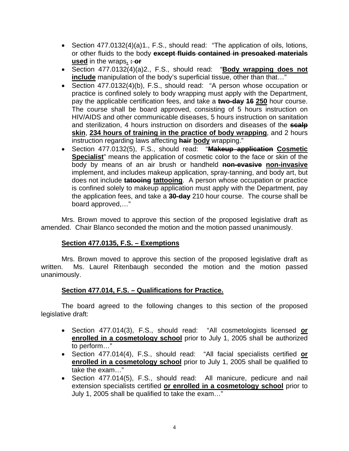- Section 477.0132(4)(a)1., F.S., should read: "The application of oils, lotions, or other fluids to the body **except fluids contained in presoaked materials used** in the wraps. **: or**
- Section 477.0132(4)(a)2., F.S., should read: "**Body wrapping does not include** manipulation of the body's superficial tissue, other than that..."
- Section 477.0132(4)(b), F.S., should read: "A person whose occupation or practice is confined solely to body wrapping must apply with the Department, pay the applicable certification fees, and take a **two-day 16 250** hour course. The course shall be board approved, consisting of 5 hours instruction on HIV/AIDS and other communicable diseases, 5 hours instruction on sanitation and sterilization, 4 hours instruction on disorders and diseases of the **scalp skin**, **234 hours of training in the practice of body wrapping**, and 2 hours instruction regarding laws affecting **hair body** wrapping."
- Section 477.0132(5), F.S., should read: "**Makeup application Cosmetic Specialist**" means the application of cosmetic color to the face or skin of the body by means of an air brush or handheld **non-evasive non-invasive** implement, and includes makeup application, spray-tanning, and body art, but does not include **tatooing tattooing**. A person whose occupation or practice is confined solely to makeup application must apply with the Department, pay the application fees, and take a **30-day** 210 hour course. The course shall be board approved,…"

Mrs. Brown moved to approve this section of the proposed legislative draft as amended. Chair Blanco seconded the motion and the motion passed unanimously.

#### **Section 477.0135, F.S. – Exemptions**

Mrs. Brown moved to approve this section of the proposed legislative draft as written. Ms. Laurel Ritenbaugh seconded the motion and the motion passed unanimously.

# **Section 477.014, F.S. – Qualifications for Practice.**

- Section 477.014(3), F.S., should read: "All cosmetologists licensed **or enrolled in a cosmetology school** prior to July 1, 2005 shall be authorized to perform…"
- Section 477.014(4), F.S., should read: "All facial specialists certified **or enrolled in a cosmetology school** prior to July 1, 2005 shall be qualified to take the exam…"
- Section 477.014(5), F.S., should read: All manicure, pedicure and nail extension specialists certified **or enrolled in a cosmetology school** prior to July 1, 2005 shall be qualified to take the exam…"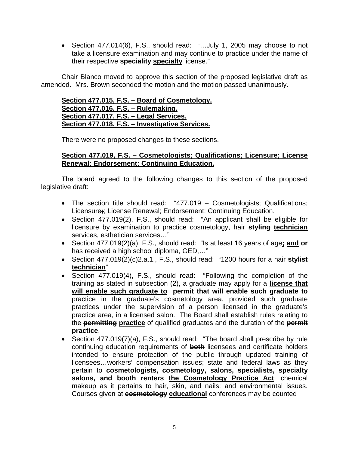• Section 477.014(6), F.S., should read: "...July 1, 2005 may choose to not take a licensure examination and may continue to practice under the name of their respective **speciality specialty** license."

Chair Blanco moved to approve this section of the proposed legislative draft as amended. Mrs. Brown seconded the motion and the motion passed unanimously.

#### **Section 477.015, F.S. – Board of Cosmetology. Section 477.016, F.S. – Rulemaking. Section 477.017, F.S. – Legal Services. Section 477.018, F.S. – Investigative Services.**

There were no proposed changes to these sections.

## **Section 477.019, F.S. – Cosmetologists; Qualifications; Licensure; License Renewal; Endorsement; Continuing Education.**

- The section title should read: "477.019 Cosmetologists; Qualifications; Licensure**;**; License Renewal; Endorsement; Continuing Education.
- Section 477.019(2), F.S., should read: "An applicant shall be eligible for licensure by examination to practice cosmetology, hair **styling technician** services, esthetician services…"
- Section 477.019(2)(a), F.S., should read: "Is at least 16 years of age**; and or** has received a high school diploma, GED,…"
- Section 477.019(2)(c)2.a.1., F.S., should read: "1200 hours for a hair **stylist technician**"
- Section 477.019(4), F.S., should read: "Following the completion of the training as stated in subsection (2), a graduate may apply for a **license that will enable such graduate to permit that will enable such graduate to** practice in the graduate's cosmetology area, provided such graduate practices under the supervision of a person licensed in the graduate's practice area, in a licensed salon. The Board shall establish rules relating to the **permitting practice** of qualified graduates and the duration of the **permit practice**.
- Section 477.019(7)(a), F.S., should read: "The board shall prescribe by rule continuing education requirements of **both** licensees and certificate holders intended to ensure protection of the public through updated training of licensees…workers' compensation issues; state and federal laws as they pertain to **cosmetologists, cosmetology, salons, specialists, specialty salons, and booth renters the Cosmetology Practice Act**; chemical makeup as it pertains to hair, skin, and nails; and environmental issues. Courses given at **cosmetology educational** conferences may be counted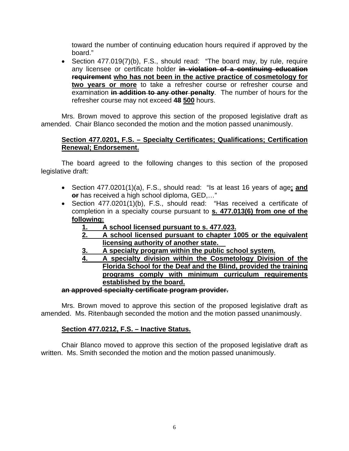toward the number of continuing education hours required if approved by the board."

• Section 477.019(7)(b), F.S., should read: "The board may, by rule, require any licensee or certificate holder **in violation of a continuing education requirement who has not been in the active practice of cosmetology for two years or more** to take a refresher course or refresher course and examination **in addition to any other penalty**. The number of hours for the refresher course may not exceed **48 500** hours.

Mrs. Brown moved to approve this section of the proposed legislative draft as amended. Chair Blanco seconded the motion and the motion passed unanimously.

## **Section 477.0201, F.S. – Specialty Certificates; Qualifications; Certification Renewal; Endorsement.**

The board agreed to the following changes to this section of the proposed legislative draft:

- Section 477.0201(1)(a), F.S., should read: "Is at least 16 years of age**; and or** has received a high school diploma, GED,…"
- Section 477.0201(1)(b), F.S., should read: "Has received a certificate of completion in a specialty course pursuant to **s. 477.013(6) from one of the following:**
	- **1. A school licensed pursuant to s. 477.023.**
	- **2. A school licensed pursuant to chapter 1005 or the equivalent licensing authority of another state.**
	- **3. A specialty program within the public school system.**
	- **4. A specialty division within the Cosmetology Division of the Florida School for the Deaf and the Blind, provided the training programs comply with minimum curriculum requirements established by the board.**

#### **an approved specialty certificate program provider.**

Mrs. Brown moved to approve this section of the proposed legislative draft as amended. Ms. Ritenbaugh seconded the motion and the motion passed unanimously.

#### **Section 477.0212, F.S. – Inactive Status.**

Chair Blanco moved to approve this section of the proposed legislative draft as written. Ms. Smith seconded the motion and the motion passed unanimously.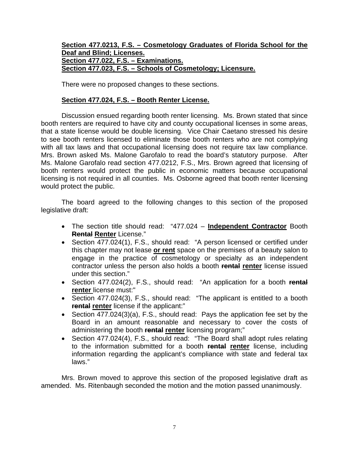#### **Section 477.0213, F.S. – Cosmetology Graduates of Florida School for the Deaf and Blind; Licenses. Section 477.022, F.S. – Examinations. Section 477.023, F.S. – Schools of Cosmetology; Licensure.**

There were no proposed changes to these sections.

#### **Section 477.024, F.S. – Booth Renter License.**

Discussion ensued regarding booth renter licensing. Ms. Brown stated that since booth renters are required to have city and county occupational licenses in some areas, that a state license would be double licensing. Vice Chair Caetano stressed his desire to see booth renters licensed to eliminate those booth renters who are not complying with all tax laws and that occupational licensing does not require tax law compliance. Mrs. Brown asked Ms. Malone Garofalo to read the board's statutory purpose. After Ms. Malone Garofalo read section 477.0212, F.S., Mrs. Brown agreed that licensing of booth renters would protect the public in economic matters because occupational licensing is not required in all counties. Ms. Osborne agreed that booth renter licensing would protect the public.

The board agreed to the following changes to this section of the proposed legislative draft:

- The section title should read: "477.024 – **Independent Contractor** Booth **Rental Renter** License."
- Section 477.024(1), F.S., should read: "A person licensed or certified under this chapter may not lease **or rent** space on the premises of a beauty salon to engage in the practice of cosmetology or specialty as an independent contractor unless the person also holds a booth **rental renter** license issued under this section."
- Section 477.024(2), F.S., should read: "An application for a booth **rental renter** license must:"
- Section 477.024(3), F.S., should read: "The applicant is entitled to a booth **rental renter** license if the applicant:"
- Section  $\overline{477.024(3)}(a)$ , F.S., should read: Pays the application fee set by the Board in an amount reasonable and necessary to cover the costs of administering the booth **rental renter** licensing program;"
- Section 477.024(4), F.S., should read: "The Board shall adopt rules relating to the information submitted for a booth **rental renter** license, including information regarding the applicant's compliance with state and federal tax laws."

Mrs. Brown moved to approve this section of the proposed legislative draft as amended. Ms. Ritenbaugh seconded the motion and the motion passed unanimously.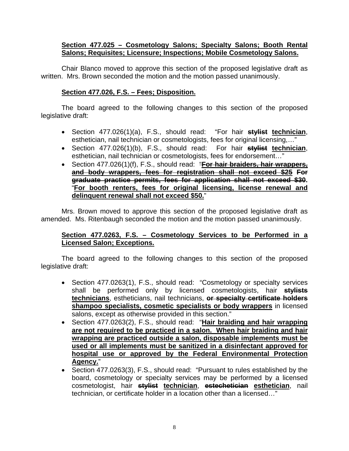#### **Section 477.025 – Cosmetology Salons; Specialty Salons; Booth Rental Salons; Requisites; Licensure; Inspections; Mobile Cosmetology Salons.**

Chair Blanco moved to approve this section of the proposed legislative draft as written. Mrs. Brown seconded the motion and the motion passed unanimously.

#### **Section 477.026, F.S. – Fees; Disposition.**

The board agreed to the following changes to this section of the proposed legislative draft:

- Section 477.026(1)(a), F.S., should read: "For hair **stylist technician**, esthetician, nail technician or cosmetologists, fees for original licensing,…"
- Section 477.026(1)(b), F.S., should read: For hair **stylist technician**, esthetician, nail technician or cosmetologists, fees for endorsement…"
- Section 477.026(1)(f), F.S., should read: "**For hair braiders, hair wrappers, and body wrappers, fees for registration shall not exceed \$25 For graduate practice permits, fees for application shall not exceed \$30.** "**For booth renters, fees for original licensing, license renewal and delinquent renewal shall not exceed \$50.**"

Mrs. Brown moved to approve this section of the proposed legislative draft as amended. Ms. Ritenbaugh seconded the motion and the motion passed unanimously.

#### **Section 477.0263, F.S. – Cosmetology Services to be Performed in a Licensed Salon; Exceptions.**

- Section 477.0263(1), F.S., should read: "Cosmetology or specialty services shall be performed only by licensed cosmetologists, hair **stylists technicians**, estheticians, nail technicians, **or specialty certificate holders shampoo specialists, cosmetic specialists or body wrappers** in licensed salons, except as otherwise provided in this section."
- Section 477.0263(2), F.S., should read: "**Hair braiding and hair wrapping are not required to be practiced in a salon. When hair braiding and hair wrapping are practiced outside a salon, disposable implements must be used or all implements must be sanitized in a disinfectant approved for hospital use or approved by the Federal Environmental Protection Agency.**"
- Section 477.0263(3), F.S., should read: "Pursuant to rules established by the board, cosmetology or specialty services may be performed by a licensed cosmetologist, hair **stylist technician**, **estechetician esthetician**, nail technician, or certificate holder in a location other than a licensed…"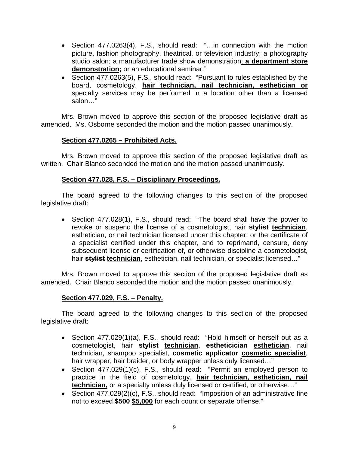- Section 477.0263(4), F.S., should read: "…in connection with the motion picture, fashion photography, theatrical, or television industry; a photography studio salon; a manufacturer trade show demonstration; **a department store demonstration;** or an educational seminar."
- Section 477.0263(5), F.S., should read: "Pursuant to rules established by the board, cosmetology, **hair technician, nail technician, esthetician or** specialty services may be performed in a location other than a licensed salon…"

Mrs. Brown moved to approve this section of the proposed legislative draft as amended. Ms. Osborne seconded the motion and the motion passed unanimously.

## **Section 477.0265 – Prohibited Acts.**

Mrs. Brown moved to approve this section of the proposed legislative draft as written. Chair Blanco seconded the motion and the motion passed unanimously.

## **Section 477.028, F.S. – Disciplinary Proceedings.**

The board agreed to the following changes to this section of the proposed legislative draft:

• Section 477.028(1), F.S., should read: "The board shall have the power to revoke or suspend the license of a cosmetologist, hair **stylist technician**, esthetician, or nail technician licensed under this chapter, or the certificate of a specialist certified under this chapter, and to reprimand, censure, deny subsequent license or certification of, or otherwise discipline a cosmetologist, hair **stylist technician**, esthetician, nail technician, or specialist licensed…"

Mrs. Brown moved to approve this section of the proposed legislative draft as amended. Chair Blanco seconded the motion and the motion passed unanimously.

#### **Section 477.029, F.S. – Penalty.**

- Section 477.029(1)(a), F.S., should read: "Hold himself or herself out as a cosmetologist, hair **stylist technician**, **estheticician esthetician**, nail technician, shampoo specialist, **cosmetic applicator cosmetic specialist**, hair wrapper, hair braider, or body wrapper unless duly licensed..."
- Section 477.029(1)(c), F.S., should read: "Permit an employed person to practice in the field of cosmetology, **hair technician, esthetician, nail technician,** or a specialty unless duly licensed or certified, or otherwise..."
- Section 477.029(2)(c), F.S., should read: "Imposition of an administrative fine not to exceed **\$500 \$5,000** for each count or separate offense."